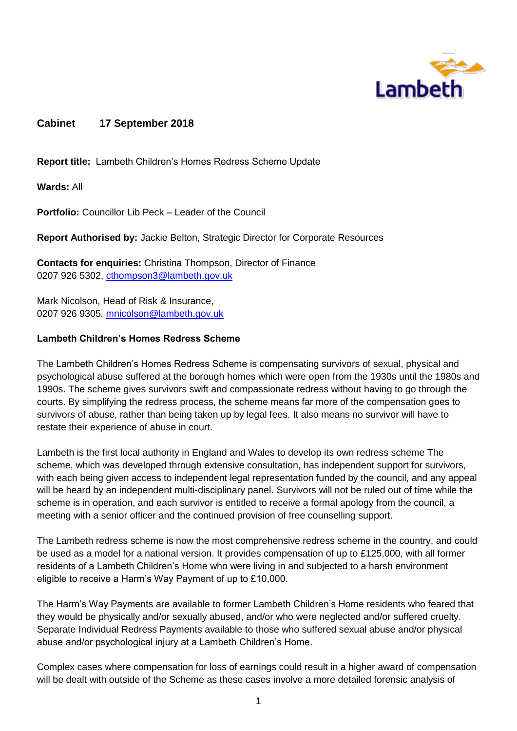

## **Cabinet 17 September 2018**

**Report title:** Lambeth Children's Homes Redress Scheme Update

**Wards:** All

**Portfolio:** Councillor Lib Peck – Leader of the Council

**Report Authorised by:** Jackie Belton, Strategic Director for Corporate Resources

**Contacts for enquiries:** Christina Thompson, Director of Finance 0207 926 5302, [cthompson3@lambeth.gov.uk](mailto:cthompson3@lambeth.gov.uk)

Mark Nicolson, Head of Risk & Insurance, 0207 926 9305, [mnicolson@lambeth.gov.uk](mailto:mnicolson@lambeth.gov.uk)

#### **Lambeth Children's Homes Redress Scheme**

The Lambeth Children's Homes Redress Scheme is compensating survivors of sexual, physical and psychological abuse suffered at the borough homes which were open from the 1930s until the 1980s and 1990s. The scheme gives survivors swift and compassionate redress without having to go through the courts. By simplifying the redress process, the scheme means far more of the compensation goes to survivors of abuse, rather than being taken up by legal fees. It also means no survivor will have to restate their experience of abuse in court.

Lambeth is the first local authority in England and Wales to develop its own redress scheme The scheme, which was developed through extensive consultation, has independent support for survivors, with each being given access to independent legal representation funded by the council, and any appeal will be heard by an independent multi-disciplinary panel. Survivors will not be ruled out of time while the scheme is in operation, and each survivor is entitled to receive a formal apology from the council, a meeting with a senior officer and the continued provision of free counselling support.

The Lambeth redress scheme is now the most comprehensive redress scheme in the country, and could be used as a model for a national version. It provides compensation of up to £125,000, with all former residents of a Lambeth Children's Home who were living in and subjected to a harsh environment eligible to receive a Harm's Way Payment of up to £10,000.

The Harm's Way Payments are available to former Lambeth Children's Home residents who feared that they would be physically and/or sexually abused, and/or who were neglected and/or suffered cruelty. Separate Individual Redress Payments available to those who suffered sexual abuse and/or physical abuse and/or psychological injury at a Lambeth Children's Home.

Complex cases where compensation for loss of earnings could result in a higher award of compensation will be dealt with outside of the Scheme as these cases involve a more detailed forensic analysis of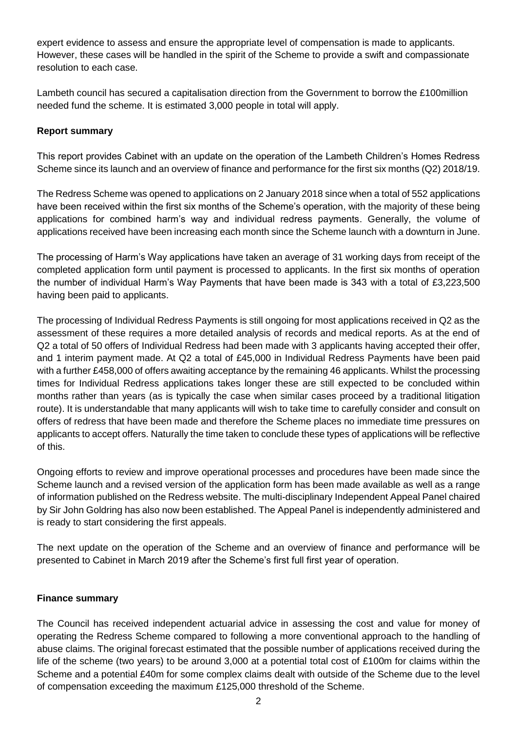expert evidence to assess and ensure the appropriate level of compensation is made to applicants. However, these cases will be handled in the spirit of the Scheme to provide a swift and compassionate resolution to each case.

Lambeth council has secured a capitalisation direction from the Government to borrow the £100million needed fund the scheme. It is estimated 3,000 people in total will apply.

### **Report summary**

This report provides Cabinet with an update on the operation of the Lambeth Children's Homes Redress Scheme since its launch and an overview of finance and performance for the first six months (Q2) 2018/19.

The Redress Scheme was opened to applications on 2 January 2018 since when a total of 552 applications have been received within the first six months of the Scheme's operation, with the majority of these being applications for combined harm's way and individual redress payments. Generally, the volume of applications received have been increasing each month since the Scheme launch with a downturn in June.

The processing of Harm's Way applications have taken an average of 31 working days from receipt of the completed application form until payment is processed to applicants. In the first six months of operation the number of individual Harm's Way Payments that have been made is 343 with a total of £3,223,500 having been paid to applicants.

The processing of Individual Redress Payments is still ongoing for most applications received in Q2 as the assessment of these requires a more detailed analysis of records and medical reports. As at the end of Q2 a total of 50 offers of Individual Redress had been made with 3 applicants having accepted their offer, and 1 interim payment made. At Q2 a total of £45,000 in Individual Redress Payments have been paid with a further £458,000 of offers awaiting acceptance by the remaining 46 applicants. Whilst the processing times for Individual Redress applications takes longer these are still expected to be concluded within months rather than years (as is typically the case when similar cases proceed by a traditional litigation route). It is understandable that many applicants will wish to take time to carefully consider and consult on offers of redress that have been made and therefore the Scheme places no immediate time pressures on applicants to accept offers. Naturally the time taken to conclude these types of applications will be reflective of this.

Ongoing efforts to review and improve operational processes and procedures have been made since the Scheme launch and a revised version of the application form has been made available as well as a range of information published on the Redress website. The multi-disciplinary Independent Appeal Panel chaired by Sir John Goldring has also now been established. The Appeal Panel is independently administered and is ready to start considering the first appeals.

The next update on the operation of the Scheme and an overview of finance and performance will be presented to Cabinet in March 2019 after the Scheme's first full first year of operation.

#### **Finance summary**

The Council has received independent actuarial advice in assessing the cost and value for money of operating the Redress Scheme compared to following a more conventional approach to the handling of abuse claims. The original forecast estimated that the possible number of applications received during the life of the scheme (two years) to be around 3,000 at a potential total cost of £100m for claims within the Scheme and a potential £40m for some complex claims dealt with outside of the Scheme due to the level of compensation exceeding the maximum £125,000 threshold of the Scheme.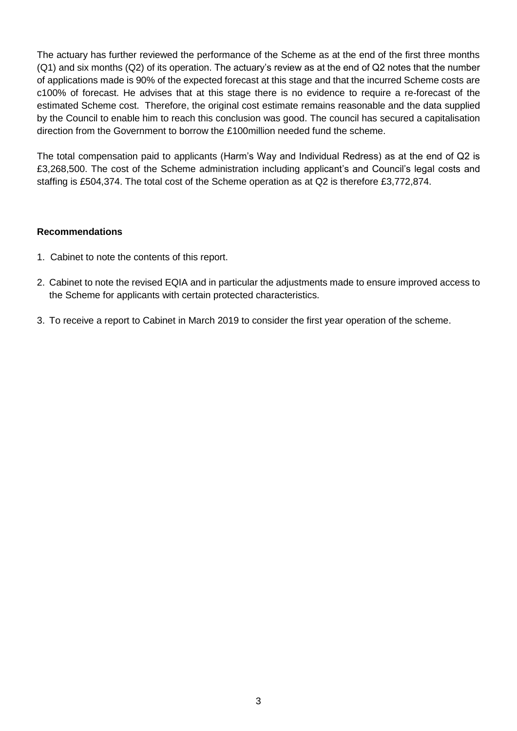The actuary has further reviewed the performance of the Scheme as at the end of the first three months (Q1) and six months (Q2) of its operation. The actuary's review as at the end of Q2 notes that the number of applications made is 90% of the expected forecast at this stage and that the incurred Scheme costs are c100% of forecast. He advises that at this stage there is no evidence to require a re-forecast of the estimated Scheme cost. Therefore, the original cost estimate remains reasonable and the data supplied by the Council to enable him to reach this conclusion was good. The council has secured a capitalisation direction from the Government to borrow the £100million needed fund the scheme.

The total compensation paid to applicants (Harm's Way and Individual Redress) as at the end of Q2 is £3,268,500. The cost of the Scheme administration including applicant's and Council's legal costs and staffing is £504,374. The total cost of the Scheme operation as at Q2 is therefore £3,772,874.

### **Recommendations**

- 1. Cabinet to note the contents of this report.
- 2. Cabinet to note the revised EQIA and in particular the adjustments made to ensure improved access to the Scheme for applicants with certain protected characteristics.
- 3. To receive a report to Cabinet in March 2019 to consider the first year operation of the scheme.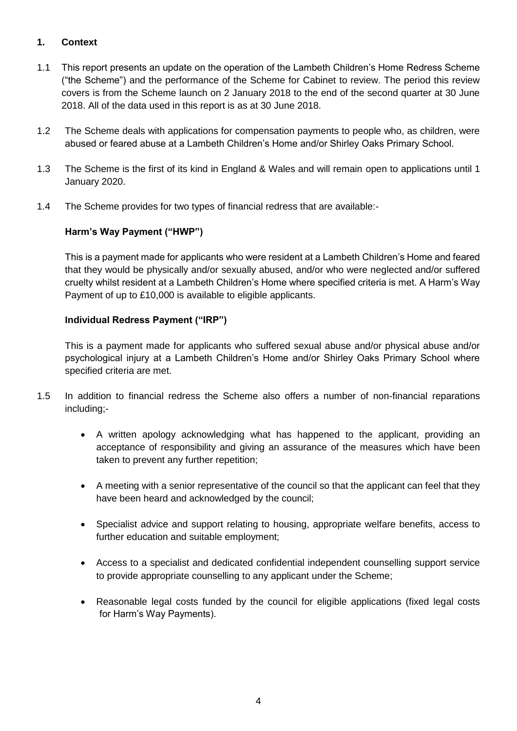# **1. Context**

- 1.1 This report presents an update on the operation of the Lambeth Children's Home Redress Scheme ("the Scheme") and the performance of the Scheme for Cabinet to review. The period this review covers is from the Scheme launch on 2 January 2018 to the end of the second quarter at 30 June 2018. All of the data used in this report is as at 30 June 2018.
- 1.2 The Scheme deals with applications for compensation payments to people who, as children, were abused or feared abuse at a Lambeth Children's Home and/or Shirley Oaks Primary School.
- 1.3 The Scheme is the first of its kind in England & Wales and will remain open to applications until 1 January 2020.
- 1.4 The Scheme provides for two types of financial redress that are available:-

## **Harm's Way Payment ("HWP")**

This is a payment made for applicants who were resident at a Lambeth Children's Home and feared that they would be physically and/or sexually abused, and/or who were neglected and/or suffered cruelty whilst resident at a Lambeth Children's Home where specified criteria is met. A Harm's Way Payment of up to £10,000 is available to eligible applicants.

## **Individual Redress Payment ("IRP")**

This is a payment made for applicants who suffered sexual abuse and/or physical abuse and/or psychological injury at a Lambeth Children's Home and/or Shirley Oaks Primary School where specified criteria are met.

- 1.5 In addition to financial redress the Scheme also offers a number of non-financial reparations including;-
	- A written apology acknowledging what has happened to the applicant, providing an acceptance of responsibility and giving an assurance of the measures which have been taken to prevent any further repetition;
	- A meeting with a senior representative of the council so that the applicant can feel that they have been heard and acknowledged by the council;
	- Specialist advice and support relating to housing, appropriate welfare benefits, access to further education and suitable employment;
	- Access to a specialist and dedicated confidential independent counselling support service to provide appropriate counselling to any applicant under the Scheme;
	- Reasonable legal costs funded by the council for eligible applications (fixed legal costs for Harm's Way Payments).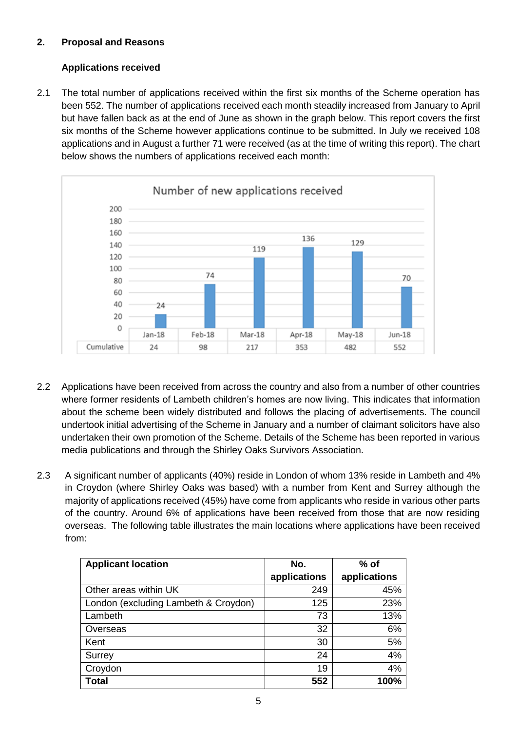# **2. Proposal and Reasons**

# **Applications received**

2.1 The total number of applications received within the first six months of the Scheme operation has been 552. The number of applications received each month steadily increased from January to April but have fallen back as at the end of June as shown in the graph below. This report covers the first six months of the Scheme however applications continue to be submitted. In July we received 108 applications and in August a further 71 were received (as at the time of writing this report). The chart below shows the numbers of applications received each month:



- 2.2 Applications have been received from across the country and also from a number of other countries where former residents of Lambeth children's homes are now living. This indicates that information about the scheme been widely distributed and follows the placing of advertisements. The council undertook initial advertising of the Scheme in January and a number of claimant solicitors have also undertaken their own promotion of the Scheme. Details of the Scheme has been reported in various media publications and through the Shirley Oaks Survivors Association.
- 2.3 A significant number of applicants (40%) reside in London of whom 13% reside in Lambeth and 4% in Croydon (where Shirley Oaks was based) with a number from Kent and Surrey although the majority of applications received (45%) have come from applicants who reside in various other parts of the country. Around 6% of applications have been received from those that are now residing overseas. The following table illustrates the main locations where applications have been received from:

| <b>Applicant location</b>            | No.          | $%$ of       |  |
|--------------------------------------|--------------|--------------|--|
|                                      | applications | applications |  |
| Other areas within UK                | 249          | 45%          |  |
| London (excluding Lambeth & Croydon) | 125          | 23%          |  |
| Lambeth                              | 73           | 13%          |  |
| Overseas                             | 32           | 6%           |  |
| Kent                                 | 30           | 5%           |  |
| Surrey                               | 24           | 4%           |  |
| Croydon                              | 19           | 4%           |  |
| <b>Total</b>                         | 552          | 100%         |  |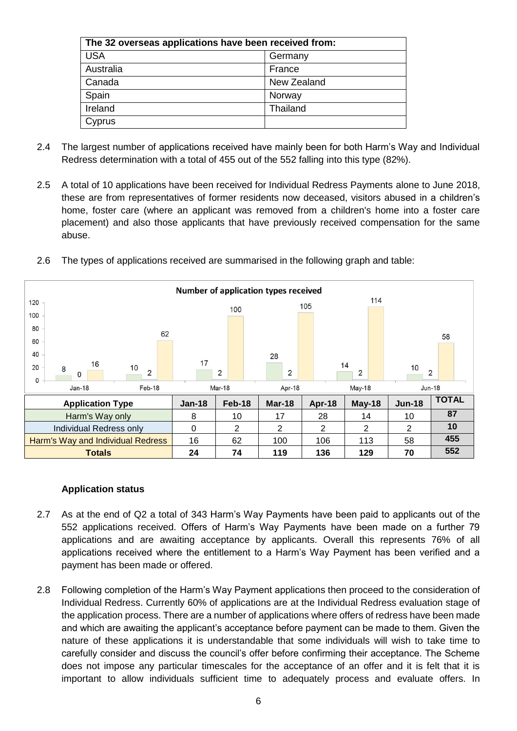| The 32 overseas applications have been received from: |             |  |  |
|-------------------------------------------------------|-------------|--|--|
| <b>USA</b>                                            | Germany     |  |  |
| Australia                                             | France      |  |  |
| Canada                                                | New Zealand |  |  |
| Spain                                                 | Norway      |  |  |
| Ireland                                               | Thailand    |  |  |
| Cyprus                                                |             |  |  |

- 2.4 The largest number of applications received have mainly been for both Harm's Way and Individual Redress determination with a total of 455 out of the 552 falling into this type (82%).
- 2.5 A total of 10 applications have been received for Individual Redress Payments alone to June 2018, these are from representatives of former residents now deceased, visitors abused in a children's home, foster care (where an applicant was removed from a children's home into a foster care placement) and also those applicants that have previously received compensation for the same abuse.





#### **Application status**

- 2.7 As at the end of Q2 a total of 343 Harm's Way Payments have been paid to applicants out of the 552 applications received. Offers of Harm's Way Payments have been made on a further 79 applications and are awaiting acceptance by applicants. Overall this represents 76% of all applications received where the entitlement to a Harm's Way Payment has been verified and a payment has been made or offered.
- 2.8 Following completion of the Harm's Way Payment applications then proceed to the consideration of Individual Redress. Currently 60% of applications are at the Individual Redress evaluation stage of the application process. There are a number of applications where offers of redress have been made and which are awaiting the applicant's acceptance before payment can be made to them. Given the nature of these applications it is understandable that some individuals will wish to take time to carefully consider and discuss the council's offer before confirming their acceptance. The Scheme does not impose any particular timescales for the acceptance of an offer and it is felt that it is important to allow individuals sufficient time to adequately process and evaluate offers. In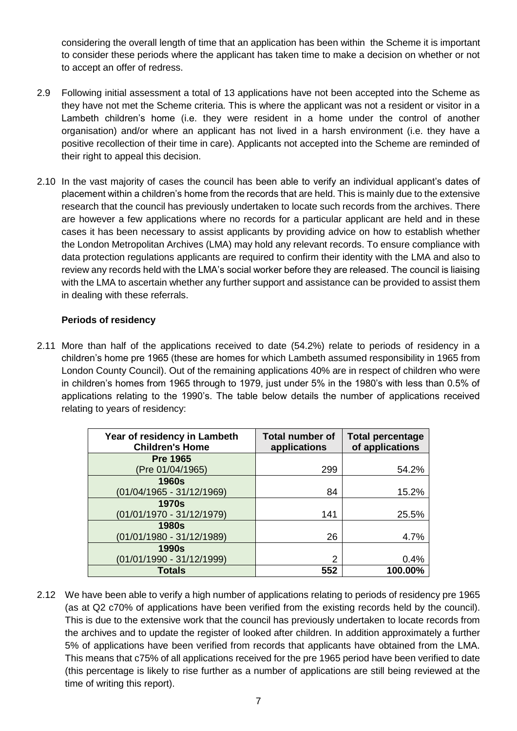considering the overall length of time that an application has been within the Scheme it is important to consider these periods where the applicant has taken time to make a decision on whether or not to accept an offer of redress.

- 2.9 Following initial assessment a total of 13 applications have not been accepted into the Scheme as they have not met the Scheme criteria. This is where the applicant was not a resident or visitor in a Lambeth children's home (i.e. they were resident in a home under the control of another organisation) and/or where an applicant has not lived in a harsh environment (i.e. they have a positive recollection of their time in care). Applicants not accepted into the Scheme are reminded of their right to appeal this decision.
- 2.10 In the vast majority of cases the council has been able to verify an individual applicant's dates of placement within a children's home from the records that are held. This is mainly due to the extensive research that the council has previously undertaken to locate such records from the archives. There are however a few applications where no records for a particular applicant are held and in these cases it has been necessary to assist applicants by providing advice on how to establish whether the London Metropolitan Archives (LMA) may hold any relevant records. To ensure compliance with data protection regulations applicants are required to confirm their identity with the LMA and also to review any records held with the LMA's social worker before they are released. The council is liaising with the LMA to ascertain whether any further support and assistance can be provided to assist them in dealing with these referrals.

## **Periods of residency**

2.11 More than half of the applications received to date (54.2%) relate to periods of residency in a children's home pre 1965 (these are homes for which Lambeth assumed responsibility in 1965 from London County Council). Out of the remaining applications 40% are in respect of children who were in children's homes from 1965 through to 1979, just under 5% in the 1980's with less than 0.5% of applications relating to the 1990's. The table below details the number of applications received relating to years of residency:

| Year of residency in Lambeth<br><b>Children's Home</b> | <b>Total number of</b><br>applications | <b>Total percentage</b><br>of applications |
|--------------------------------------------------------|----------------------------------------|--------------------------------------------|
| <b>Pre 1965</b>                                        |                                        |                                            |
| (Pre 01/04/1965)                                       | 299                                    | 54.2%                                      |
| <b>1960s</b>                                           |                                        |                                            |
| $(01/04/1965 - 31/12/1969)$                            | 84                                     | 15.2%                                      |
| <b>1970s</b>                                           |                                        |                                            |
| $(01/01/1970 - 31/12/1979)$                            | 141                                    | 25.5%                                      |
| <b>1980s</b>                                           |                                        |                                            |
| $(01/01/1980 - 31/12/1989)$                            | 26                                     | 4.7%                                       |
| <b>1990s</b>                                           |                                        |                                            |
| (01/01/1990 - 31/12/1999)                              | 2                                      | 0.4%                                       |
| <b>Totals</b>                                          | 552                                    | 100.00%                                    |

2.12 We have been able to verify a high number of applications relating to periods of residency pre 1965 (as at Q2 c70% of applications have been verified from the existing records held by the council). This is due to the extensive work that the council has previously undertaken to locate records from the archives and to update the register of looked after children. In addition approximately a further 5% of applications have been verified from records that applicants have obtained from the LMA. This means that c75% of all applications received for the pre 1965 period have been verified to date (this percentage is likely to rise further as a number of applications are still being reviewed at the time of writing this report).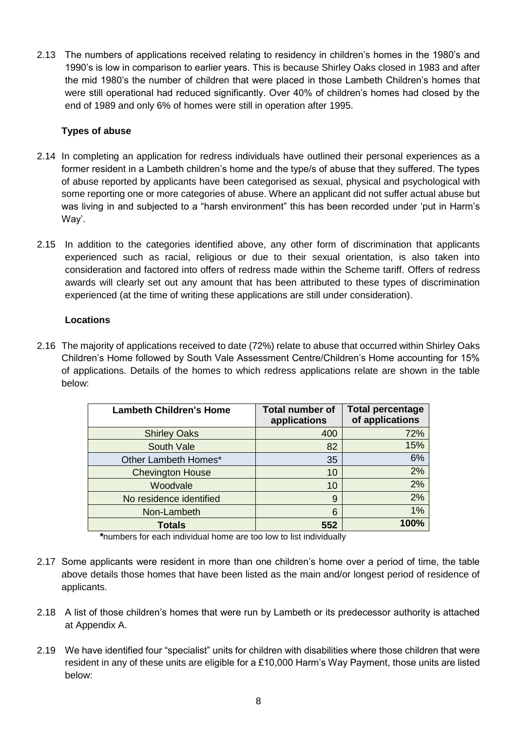2.13 The numbers of applications received relating to residency in children's homes in the 1980's and 1990's is low in comparison to earlier years. This is because Shirley Oaks closed in 1983 and after the mid 1980's the number of children that were placed in those Lambeth Children's homes that were still operational had reduced significantly. Over 40% of children's homes had closed by the end of 1989 and only 6% of homes were still in operation after 1995.

## **Types of abuse**

- 2.14 In completing an application for redress individuals have outlined their personal experiences as a former resident in a Lambeth children's home and the type/s of abuse that they suffered. The types of abuse reported by applicants have been categorised as sexual, physical and psychological with some reporting one or more categories of abuse. Where an applicant did not suffer actual abuse but was living in and subjected to a "harsh environment" this has been recorded under 'put in Harm's Way'.
- 2.15 In addition to the categories identified above, any other form of discrimination that applicants experienced such as racial, religious or due to their sexual orientation, is also taken into consideration and factored into offers of redress made within the Scheme tariff. Offers of redress awards will clearly set out any amount that has been attributed to these types of discrimination experienced (at the time of writing these applications are still under consideration).

## **Locations**

2.16 The majority of applications received to date (72%) relate to abuse that occurred within Shirley Oaks Children's Home followed by South Vale Assessment Centre/Children's Home accounting for 15% of applications. Details of the homes to which redress applications relate are shown in the table below:

| <b>Lambeth Children's Home</b> | <b>Total number of</b><br>applications | <b>Total percentage</b><br>of applications |
|--------------------------------|----------------------------------------|--------------------------------------------|
| <b>Shirley Oaks</b>            | 400                                    | 72%                                        |
| South Vale                     | 82                                     | 15%                                        |
| Other Lambeth Homes*           | 35                                     | 6%                                         |
| <b>Chevington House</b>        | 10                                     | 2%                                         |
| Woodvale                       | 10                                     | 2%                                         |
| No residence identified        | 9                                      | 2%                                         |
| Non-Lambeth                    | 6                                      | 1%                                         |
| <b>Totals</b>                  | 552                                    | 100%                                       |

*\**numbers for each individual home are too low to list individually

- 2.17 Some applicants were resident in more than one children's home over a period of time, the table above details those homes that have been listed as the main and/or longest period of residence of applicants.
- 2.18 A list of those children's homes that were run by Lambeth or its predecessor authority is attached at Appendix A.
- 2.19 We have identified four "specialist" units for children with disabilities where those children that were resident in any of these units are eligible for a £10,000 Harm's Way Payment, those units are listed below: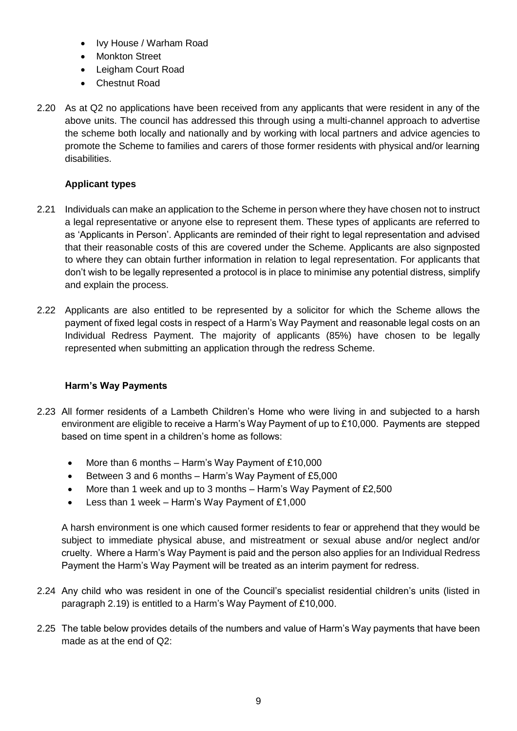- Ivy House / Warham Road
- Monkton Street
- Leigham Court Road
- Chestnut Road
- 2.20 As at Q2 no applications have been received from any applicants that were resident in any of the above units. The council has addressed this through using a multi-channel approach to advertise the scheme both locally and nationally and by working with local partners and advice agencies to promote the Scheme to families and carers of those former residents with physical and/or learning disabilities.

### **Applicant types**

- 2.21 Individuals can make an application to the Scheme in person where they have chosen not to instruct a legal representative or anyone else to represent them. These types of applicants are referred to as 'Applicants in Person'. Applicants are reminded of their right to legal representation and advised that their reasonable costs of this are covered under the Scheme. Applicants are also signposted to where they can obtain further information in relation to legal representation. For applicants that don't wish to be legally represented a protocol is in place to minimise any potential distress, simplify and explain the process.
- 2.22 Applicants are also entitled to be represented by a solicitor for which the Scheme allows the payment of fixed legal costs in respect of a Harm's Way Payment and reasonable legal costs on an Individual Redress Payment. The majority of applicants (85%) have chosen to be legally represented when submitting an application through the redress Scheme.

### **Harm's Way Payments**

- 2.23 All former residents of a Lambeth Children's Home who were living in and subjected to a harsh environment are eligible to receive a Harm's Way Payment of up to £10,000. Payments are stepped based on time spent in a children's home as follows:
	- More than 6 months Harm's Way Payment of £10,000
	- Between 3 and 6 months Harm's Way Payment of £5,000
	- More than 1 week and up to 3 months Harm's Way Payment of £2,500
	- Less than 1 week Harm's Way Payment of £1,000

A harsh environment is one which caused former residents to fear or apprehend that they would be subject to immediate physical abuse, and mistreatment or sexual abuse and/or neglect and/or cruelty. Where a Harm's Way Payment is paid and the person also applies for an Individual Redress Payment the Harm's Way Payment will be treated as an interim payment for redress.

- 2.24 Any child who was resident in one of the Council's specialist residential children's units (listed in paragraph 2.19) is entitled to a Harm's Way Payment of £10,000.
- 2.25 The table below provides details of the numbers and value of Harm's Way payments that have been made as at the end of Q2: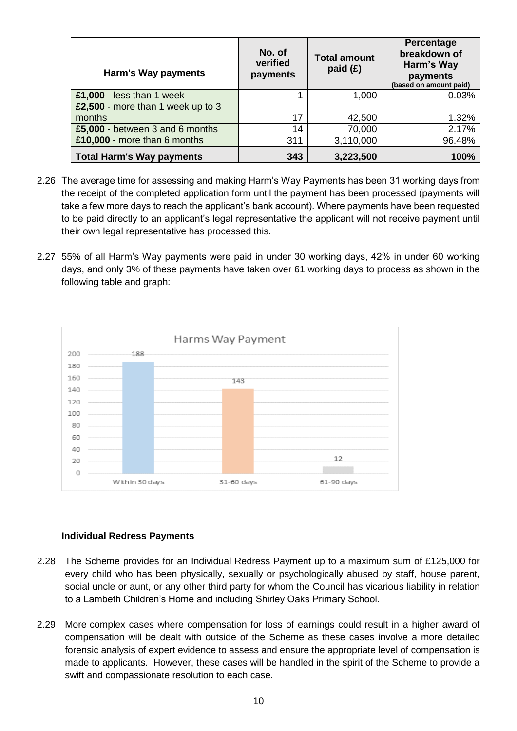| Harm's Way payments               | No. of<br>verified<br>payments | <b>Total amount</b><br>paid $(E)$ | Percentage<br>breakdown of<br>Harm's Way<br>payments<br>(based on amount paid) |
|-----------------------------------|--------------------------------|-----------------------------------|--------------------------------------------------------------------------------|
| £1,000 - less than 1 week         |                                | 1,000                             | 0.03%                                                                          |
| £2,500 - more than 1 week up to 3 |                                |                                   |                                                                                |
| months                            | 17                             | 42,500                            | 1.32%                                                                          |
| £5,000 - between 3 and 6 months   | 14                             | 70,000                            | 2.17%                                                                          |
| £10,000 - more than 6 months      | 311                            | 3,110,000                         | 96.48%                                                                         |
| <b>Total Harm's Way payments</b>  | 343                            | 3,223,500                         | 100%                                                                           |

- 2.26 The average time for assessing and making Harm's Way Payments has been 31 working days from the receipt of the completed application form until the payment has been processed (payments will take a few more days to reach the applicant's bank account). Where payments have been requested to be paid directly to an applicant's legal representative the applicant will not receive payment until their own legal representative has processed this.
- 2.27 55% of all Harm's Way payments were paid in under 30 working days, 42% in under 60 working days, and only 3% of these payments have taken over 61 working days to process as shown in the following table and graph:



## **Individual Redress Payments**

- 2.28 The Scheme provides for an Individual Redress Payment up to a maximum sum of £125,000 for every child who has been physically, sexually or psychologically abused by staff, house parent, social uncle or aunt, or any other third party for whom the Council has vicarious liability in relation to a Lambeth Children's Home and including Shirley Oaks Primary School.
- 2.29 More complex cases where compensation for loss of earnings could result in a higher award of compensation will be dealt with outside of the Scheme as these cases involve a more detailed forensic analysis of expert evidence to assess and ensure the appropriate level of compensation is made to applicants. However, these cases will be handled in the spirit of the Scheme to provide a swift and compassionate resolution to each case.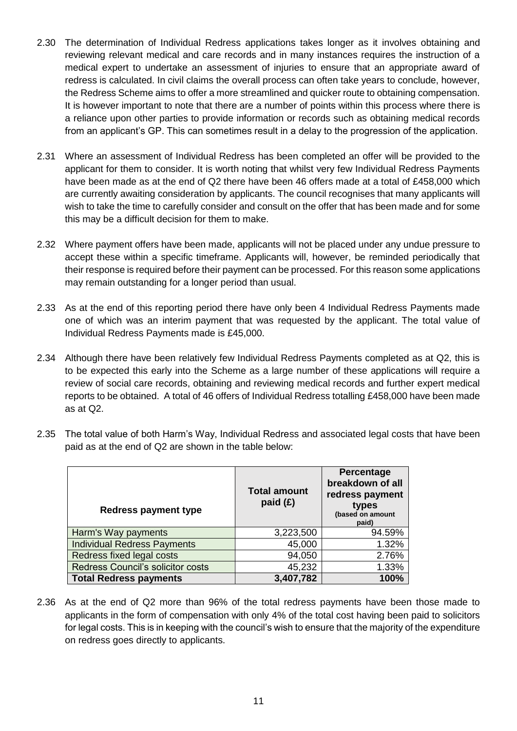- 2.30 The determination of Individual Redress applications takes longer as it involves obtaining and reviewing relevant medical and care records and in many instances requires the instruction of a medical expert to undertake an assessment of injuries to ensure that an appropriate award of redress is calculated. In civil claims the overall process can often take years to conclude, however, the Redress Scheme aims to offer a more streamlined and quicker route to obtaining compensation. It is however important to note that there are a number of points within this process where there is a reliance upon other parties to provide information or records such as obtaining medical records from an applicant's GP. This can sometimes result in a delay to the progression of the application.
- 2.31 Where an assessment of Individual Redress has been completed an offer will be provided to the applicant for them to consider. It is worth noting that whilst very few Individual Redress Payments have been made as at the end of Q2 there have been 46 offers made at a total of £458,000 which are currently awaiting consideration by applicants. The council recognises that many applicants will wish to take the time to carefully consider and consult on the offer that has been made and for some this may be a difficult decision for them to make.
- 2.32 Where payment offers have been made, applicants will not be placed under any undue pressure to accept these within a specific timeframe. Applicants will, however, be reminded periodically that their response is required before their payment can be processed. For this reason some applications may remain outstanding for a longer period than usual.
- 2.33 As at the end of this reporting period there have only been 4 Individual Redress Payments made one of which was an interim payment that was requested by the applicant. The total value of Individual Redress Payments made is £45,000.
- 2.34 Although there have been relatively few Individual Redress Payments completed as at Q2, this is to be expected this early into the Scheme as a large number of these applications will require a review of social care records, obtaining and reviewing medical records and further expert medical reports to be obtained. A total of 46 offers of Individual Redress totalling £458,000 have been made as at Q2.
- 2.35 The total value of both Harm's Way, Individual Redress and associated legal costs that have been paid as at the end of Q2 are shown in the table below:

| <b>Redress payment type</b>        | <b>Total amount</b><br>paid $(E)$ | Percentage<br>breakdown of all<br>redress payment<br>types<br>(based on amount<br>paid) |
|------------------------------------|-----------------------------------|-----------------------------------------------------------------------------------------|
| Harm's Way payments                | 3,223,500                         | 94.59%                                                                                  |
| <b>Individual Redress Payments</b> | 45,000                            | 1.32%                                                                                   |
| Redress fixed legal costs          | 94,050                            | 2.76%                                                                                   |
| Redress Council's solicitor costs  | 45,232                            | 1.33%                                                                                   |
| <b>Total Redress payments</b>      | 3,407,782                         | 100%                                                                                    |

2.36 As at the end of Q2 more than 96% of the total redress payments have been those made to applicants in the form of compensation with only 4% of the total cost having been paid to solicitors for legal costs. This is in keeping with the council's wish to ensure that the majority of the expenditure on redress goes directly to applicants.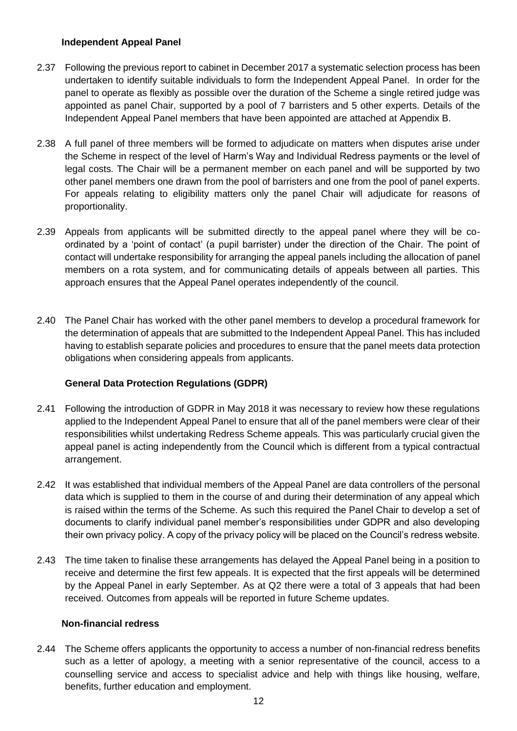### **Independent Appeal Panel**

- 2.37 Following the previous report to cabinet in December 2017 a systematic selection process has been undertaken to identify suitable individuals to form the Independent Appeal Panel. In order for the panel to operate as flexibly as possible over the duration of the Scheme a single retired judge was appointed as panel Chair, supported by a pool of 7 barristers and 5 other experts. Details of the Independent Appeal Panel members that have been appointed are attached at Appendix B.
- 2.38 A full panel of three members will be formed to adjudicate on matters when disputes arise under the Scheme in respect of the level of Harm's Way and Individual Redress payments or the level of legal costs. The Chair will be a permanent member on each panel and will be supported by two other panel members one drawn from the pool of barristers and one from the pool of panel experts. For appeals relating to eligibility matters only the panel Chair will adjudicate for reasons of proportionality.
- 2.39 Appeals from applicants will be submitted directly to the appeal panel where they will be coordinated by a 'point of contact' (a pupil barrister) under the direction of the Chair. The point of contact will undertake responsibility for arranging the appeal panels including the allocation of panel members on a rota system, and for communicating details of appeals between all parties. This approach ensures that the Appeal Panel operates independently of the council.
- 2.40 The Panel Chair has worked with the other panel members to develop a procedural framework for the determination of appeals that are submitted to the Independent Appeal Panel. This has included having to establish separate policies and procedures to ensure that the panel meets data protection obligations when considering appeals from applicants.

## **General Data Protection Regulations (GDPR)**

- 2.41 Following the introduction of GDPR in May 2018 it was necessary to review how these regulations applied to the Independent Appeal Panel to ensure that all of the panel members were clear of their responsibilities whilst undertaking Redress Scheme appeals. This was particularly crucial given the appeal panel is acting independently from the Council which is different from a typical contractual arrangement.
- 2.42 It was established that individual members of the Appeal Panel are data controllers of the personal data which is supplied to them in the course of and during their determination of any appeal which is raised within the terms of the Scheme. As such this required the Panel Chair to develop a set of documents to clarify individual panel member's responsibilities under GDPR and also developing their own privacy policy. A copy of the privacy policy will be placed on the Council's redress website.
- 2.43 The time taken to finalise these arrangements has delayed the Appeal Panel being in a position to receive and determine the first few appeals. It is expected that the first appeals will be determined by the Appeal Panel in early September. As at Q2 there were a total of 3 appeals that had been received. Outcomes from appeals will be reported in future Scheme updates.

#### **Non-financial redress**

2.44 The Scheme offers applicants the opportunity to access a number of non-financial redress benefits such as a letter of apology, a meeting with a senior representative of the council, access to a counselling service and access to specialist advice and help with things like housing, welfare, benefits, further education and employment.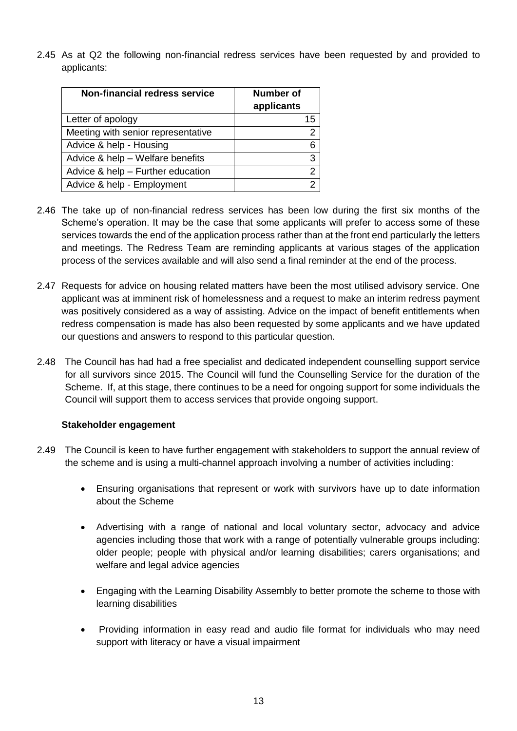2.45 As at Q2 the following non-financial redress services have been requested by and provided to applicants:

| <b>Non-financial redress service</b> | <b>Number of</b> |  |
|--------------------------------------|------------------|--|
|                                      | applicants       |  |
| Letter of apology                    | 15               |  |
| Meeting with senior representative   | 2                |  |
| Advice & help - Housing              | 6                |  |
| Advice & help - Welfare benefits     | 3                |  |
| Advice & help - Further education    | 2                |  |
| Advice & help - Employment           | 2                |  |

- 2.46 The take up of non-financial redress services has been low during the first six months of the Scheme's operation. It may be the case that some applicants will prefer to access some of these services towards the end of the application process rather than at the front end particularly the letters and meetings. The Redress Team are reminding applicants at various stages of the application process of the services available and will also send a final reminder at the end of the process.
- 2.47 Requests for advice on housing related matters have been the most utilised advisory service. One applicant was at imminent risk of homelessness and a request to make an interim redress payment was positively considered as a way of assisting. Advice on the impact of benefit entitlements when redress compensation is made has also been requested by some applicants and we have updated our questions and answers to respond to this particular question.
- 2.48 The Council has had had a free specialist and dedicated independent counselling support service for all survivors since 2015. The Council will fund the Counselling Service for the duration of the Scheme. If, at this stage, there continues to be a need for ongoing support for some individuals the Council will support them to access services that provide ongoing support.

## **Stakeholder engagement**

- 2.49 The Council is keen to have further engagement with stakeholders to support the annual review of the scheme and is using a multi-channel approach involving a number of activities including:
	- Ensuring organisations that represent or work with survivors have up to date information about the Scheme
	- Advertising with a range of national and local voluntary sector, advocacy and advice agencies including those that work with a range of potentially vulnerable groups including: older people; people with physical and/or learning disabilities; carers organisations; and welfare and legal advice agencies
	- Engaging with the Learning Disability Assembly to better promote the scheme to those with learning disabilities
	- Providing information in easy read and audio file format for individuals who may need support with literacy or have a visual impairment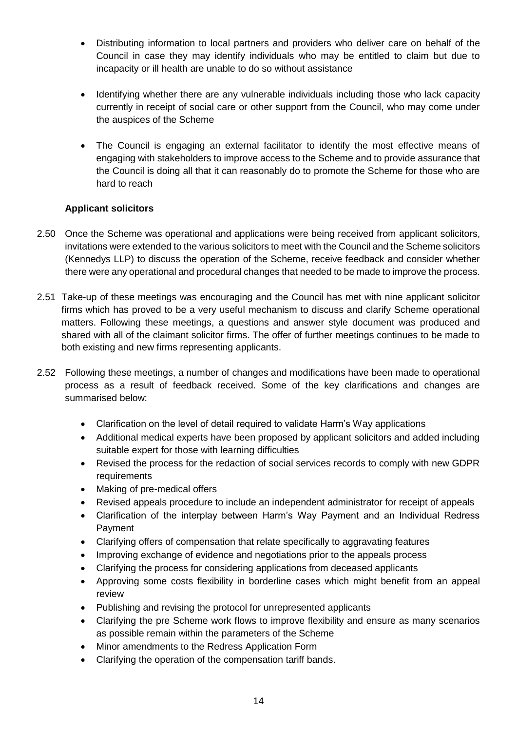- Distributing information to local partners and providers who deliver care on behalf of the Council in case they may identify individuals who may be entitled to claim but due to incapacity or ill health are unable to do so without assistance
- Identifying whether there are any vulnerable individuals including those who lack capacity currently in receipt of social care or other support from the Council, who may come under the auspices of the Scheme
- The Council is engaging an external facilitator to identify the most effective means of engaging with stakeholders to improve access to the Scheme and to provide assurance that the Council is doing all that it can reasonably do to promote the Scheme for those who are hard to reach

## **Applicant solicitors**

- 2.50 Once the Scheme was operational and applications were being received from applicant solicitors, invitations were extended to the various solicitors to meet with the Council and the Scheme solicitors (Kennedys LLP) to discuss the operation of the Scheme, receive feedback and consider whether there were any operational and procedural changes that needed to be made to improve the process.
- 2.51 Take-up of these meetings was encouraging and the Council has met with nine applicant solicitor firms which has proved to be a very useful mechanism to discuss and clarify Scheme operational matters. Following these meetings, a questions and answer style document was produced and shared with all of the claimant solicitor firms. The offer of further meetings continues to be made to both existing and new firms representing applicants.
- 2.52 Following these meetings, a number of changes and modifications have been made to operational process as a result of feedback received. Some of the key clarifications and changes are summarised below:
	- Clarification on the level of detail required to validate Harm's Way applications
	- Additional medical experts have been proposed by applicant solicitors and added including suitable expert for those with learning difficulties
	- Revised the process for the redaction of social services records to comply with new GDPR requirements
	- Making of pre-medical offers
	- Revised appeals procedure to include an independent administrator for receipt of appeals
	- Clarification of the interplay between Harm's Way Payment and an Individual Redress Payment
	- Clarifying offers of compensation that relate specifically to aggravating features
	- Improving exchange of evidence and negotiations prior to the appeals process
	- Clarifying the process for considering applications from deceased applicants
	- Approving some costs flexibility in borderline cases which might benefit from an appeal review
	- Publishing and revising the protocol for unrepresented applicants
	- Clarifying the pre Scheme work flows to improve flexibility and ensure as many scenarios as possible remain within the parameters of the Scheme
	- Minor amendments to the Redress Application Form
	- Clarifying the operation of the compensation tariff bands.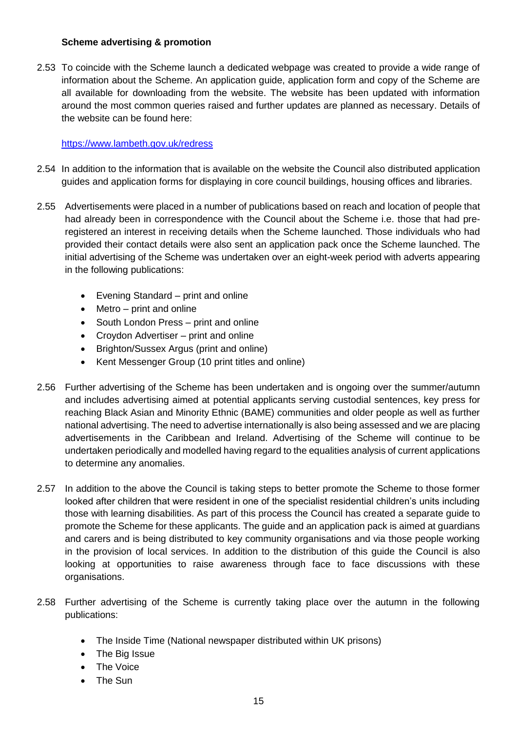### **Scheme advertising & promotion**

2.53 To coincide with the Scheme launch a dedicated webpage was created to provide a wide range of information about the Scheme. An application guide, application form and copy of the Scheme are all available for downloading from the website. The website has been updated with information around the most common queries raised and further updates are planned as necessary. Details of the website can be found here:

#### <https://www.lambeth.gov.uk/redress>

- 2.54 In addition to the information that is available on the website the Council also distributed application guides and application forms for displaying in core council buildings, housing offices and libraries.
- 2.55 Advertisements were placed in a number of publications based on reach and location of people that had already been in correspondence with the Council about the Scheme i.e. those that had preregistered an interest in receiving details when the Scheme launched. Those individuals who had provided their contact details were also sent an application pack once the Scheme launched. The initial advertising of the Scheme was undertaken over an eight-week period with adverts appearing in the following publications:
	- Evening Standard print and online
	- Metro print and online
	- South London Press print and online
	- Croydon Advertiser print and online
	- Brighton/Sussex Argus (print and online)
	- Kent Messenger Group (10 print titles and online)
- 2.56 Further advertising of the Scheme has been undertaken and is ongoing over the summer/autumn and includes advertising aimed at potential applicants serving custodial sentences, key press for reaching Black Asian and Minority Ethnic (BAME) communities and older people as well as further national advertising. The need to advertise internationally is also being assessed and we are placing advertisements in the Caribbean and Ireland. Advertising of the Scheme will continue to be undertaken periodically and modelled having regard to the equalities analysis of current applications to determine any anomalies.
- 2.57 In addition to the above the Council is taking steps to better promote the Scheme to those former looked after children that were resident in one of the specialist residential children's units including those with learning disabilities. As part of this process the Council has created a separate guide to promote the Scheme for these applicants. The guide and an application pack is aimed at guardians and carers and is being distributed to key community organisations and via those people working in the provision of local services. In addition to the distribution of this guide the Council is also looking at opportunities to raise awareness through face to face discussions with these organisations.
- 2.58 Further advertising of the Scheme is currently taking place over the autumn in the following publications:
	- The Inside Time (National newspaper distributed within UK prisons)
	- The Big Issue
	- The Voice
	- The Sun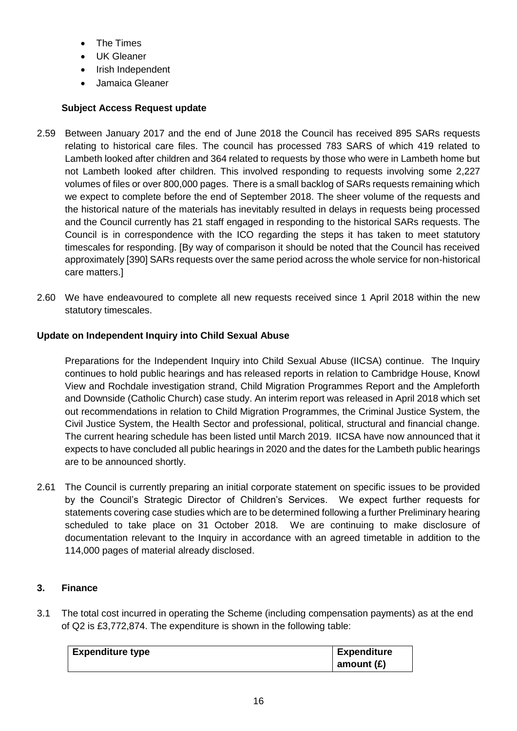- The Times
- UK Gleaner
- Irish Independent
- Jamaica Gleaner

# **Subject Access Request update**

- 2.59 Between January 2017 and the end of June 2018 the Council has received 895 SARs requests relating to historical care files. The council has processed 783 SARS of which 419 related to Lambeth looked after children and 364 related to requests by those who were in Lambeth home but not Lambeth looked after children. This involved responding to requests involving some 2,227 volumes of files or over 800,000 pages. There is a small backlog of SARs requests remaining which we expect to complete before the end of September 2018. The sheer volume of the requests and the historical nature of the materials has inevitably resulted in delays in requests being processed and the Council currently has 21 staff engaged in responding to the historical SARs requests. The Council is in correspondence with the ICO regarding the steps it has taken to meet statutory timescales for responding. [By way of comparison it should be noted that the Council has received approximately [390] SARs requests over the same period across the whole service for non-historical care matters.]
- 2.60 We have endeavoured to complete all new requests received since 1 April 2018 within the new statutory timescales.

## **Update on Independent Inquiry into Child Sexual Abuse**

Preparations for the Independent Inquiry into Child Sexual Abuse (IICSA) continue. The Inquiry continues to hold public hearings and has released reports in relation to Cambridge House, Knowl View and Rochdale investigation strand, Child Migration Programmes Report and the Ampleforth and Downside (Catholic Church) case study. An interim report was released in April 2018 which set out recommendations in relation to Child Migration Programmes, the Criminal Justice System, the Civil Justice System, the Health Sector and professional, political, structural and financial change. The current hearing schedule has been listed until March 2019. IICSA have now announced that it expects to have concluded all public hearings in 2020 and the dates for the Lambeth public hearings are to be announced shortly.

2.61 The Council is currently preparing an initial corporate statement on specific issues to be provided by the Council's Strategic Director of Children's Services. We expect further requests for statements covering case studies which are to be determined following a further Preliminary hearing scheduled to take place on 31 October 2018. We are continuing to make disclosure of documentation relevant to the Inquiry in accordance with an agreed timetable in addition to the 114,000 pages of material already disclosed.

# **3. Finance**

3.1 The total cost incurred in operating the Scheme (including compensation payments) as at the end of Q2 is £3,772,874. The expenditure is shown in the following table:

| <b>Expenditure type</b> | <b>Expenditure</b> |
|-------------------------|--------------------|
|                         | amount $(E)$       |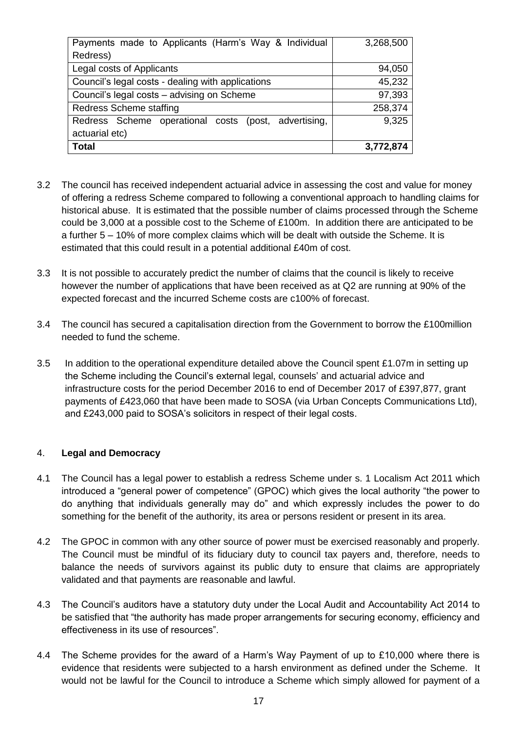| Payments made to Applicants (Harm's Way & Individual    | 3,268,500 |
|---------------------------------------------------------|-----------|
| Redress)                                                |           |
| Legal costs of Applicants                               | 94,050    |
| Council's legal costs - dealing with applications       | 45,232    |
| Council's legal costs - advising on Scheme              | 97,393    |
| <b>Redress Scheme staffing</b>                          | 258,374   |
| Redress Scheme operational costs<br>(post, advertising, | 9,325     |
| actuarial etc)                                          |           |
| <b>Total</b>                                            | 3,772,874 |

- 3.2 The council has received independent actuarial advice in assessing the cost and value for money of offering a redress Scheme compared to following a conventional approach to handling claims for historical abuse. It is estimated that the possible number of claims processed through the Scheme could be 3,000 at a possible cost to the Scheme of £100m. In addition there are anticipated to be a further 5 – 10% of more complex claims which will be dealt with outside the Scheme. It is estimated that this could result in a potential additional £40m of cost.
- 3.3 It is not possible to accurately predict the number of claims that the council is likely to receive however the number of applications that have been received as at Q2 are running at 90% of the expected forecast and the incurred Scheme costs are c100% of forecast.
- 3.4 The council has secured a capitalisation direction from the Government to borrow the £100million needed to fund the scheme.
- 3.5 In addition to the operational expenditure detailed above the Council spent £1.07m in setting up the Scheme including the Council's external legal, counsels' and actuarial advice and infrastructure costs for the period December 2016 to end of December 2017 of £397,877, grant payments of £423,060 that have been made to SOSA (via Urban Concepts Communications Ltd), and £243,000 paid to SOSA's solicitors in respect of their legal costs.

#### 4. **Legal and Democracy**

- 4.1 The Council has a legal power to establish a redress Scheme under s. 1 Localism Act 2011 which introduced a "general power of competence" (GPOC) which gives the local authority "the power to do anything that individuals generally may do" and which expressly includes the power to do something for the benefit of the authority, its area or persons resident or present in its area.
- 4.2 The GPOC in common with any other source of power must be exercised reasonably and properly. The Council must be mindful of its fiduciary duty to council tax payers and, therefore, needs to balance the needs of survivors against its public duty to ensure that claims are appropriately validated and that payments are reasonable and lawful.
- 4.3 The Council's auditors have a statutory duty under the Local Audit and Accountability Act 2014 to be satisfied that "the authority has made proper arrangements for securing economy, efficiency and effectiveness in its use of resources".
- 4.4 The Scheme provides for the award of a Harm's Way Payment of up to £10,000 where there is evidence that residents were subjected to a harsh environment as defined under the Scheme. It would not be lawful for the Council to introduce a Scheme which simply allowed for payment of a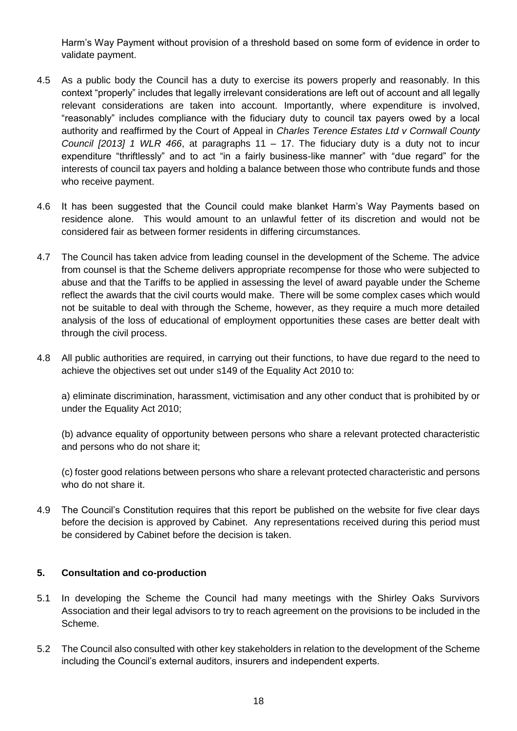Harm's Way Payment without provision of a threshold based on some form of evidence in order to validate payment.

- 4.5 As a public body the Council has a duty to exercise its powers properly and reasonably. In this context "properly" includes that legally irrelevant considerations are left out of account and all legally relevant considerations are taken into account. Importantly, where expenditure is involved, "reasonably" includes compliance with the fiduciary duty to council tax payers owed by a local authority and reaffirmed by the Court of Appeal in *Charles Terence Estates Ltd v Cornwall County Council [2013] 1 WLR 466*, at paragraphs 11 – 17. The fiduciary duty is a duty not to incur expenditure "thriftlessly" and to act "in a fairly business-like manner" with "due regard" for the interests of council tax payers and holding a balance between those who contribute funds and those who receive payment.
- 4.6 It has been suggested that the Council could make blanket Harm's Way Payments based on residence alone. This would amount to an unlawful fetter of its discretion and would not be considered fair as between former residents in differing circumstances.
- 4.7 The Council has taken advice from leading counsel in the development of the Scheme. The advice from counsel is that the Scheme delivers appropriate recompense for those who were subjected to abuse and that the Tariffs to be applied in assessing the level of award payable under the Scheme reflect the awards that the civil courts would make. There will be some complex cases which would not be suitable to deal with through the Scheme, however, as they require a much more detailed analysis of the loss of educational of employment opportunities these cases are better dealt with through the civil process.
- 4.8 All public authorities are required, in carrying out their functions, to have due regard to the need to achieve the objectives set out under s149 of the Equality Act 2010 to:

a) eliminate discrimination, harassment, victimisation and any other conduct that is prohibited by or under the Equality Act 2010;

(b) advance equality of opportunity between persons who share a relevant protected characteristic and persons who do not share it;

(c) foster good relations between persons who share a relevant protected characteristic and persons who do not share it.

4.9 The Council's Constitution requires that this report be published on the website for five clear days before the decision is approved by Cabinet. Any representations received during this period must be considered by Cabinet before the decision is taken.

#### **5. Consultation and co-production**

- 5.1 In developing the Scheme the Council had many meetings with the Shirley Oaks Survivors Association and their legal advisors to try to reach agreement on the provisions to be included in the Scheme.
- 5.2 The Council also consulted with other key stakeholders in relation to the development of the Scheme including the Council's external auditors, insurers and independent experts.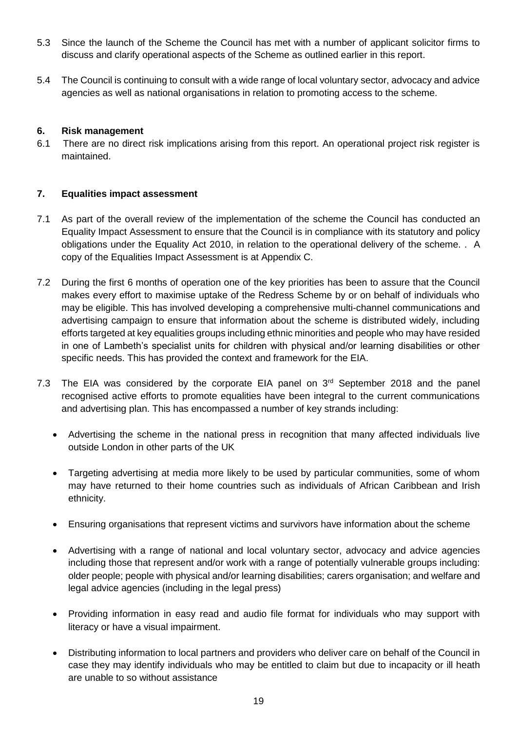- 5.3 Since the launch of the Scheme the Council has met with a number of applicant solicitor firms to discuss and clarify operational aspects of the Scheme as outlined earlier in this report.
- 5.4 The Council is continuing to consult with a wide range of local voluntary sector, advocacy and advice agencies as well as national organisations in relation to promoting access to the scheme.

### **6. Risk management**

6.1 There are no direct risk implications arising from this report. An operational project risk register is maintained.

#### **7. Equalities impact assessment**

- 7.1 As part of the overall review of the implementation of the scheme the Council has conducted an Equality Impact Assessment to ensure that the Council is in compliance with its statutory and policy obligations under the Equality Act 2010, in relation to the operational delivery of the scheme. . A copy of the Equalities Impact Assessment is at Appendix C.
- 7.2 During the first 6 months of operation one of the key priorities has been to assure that the Council makes every effort to maximise uptake of the Redress Scheme by or on behalf of individuals who may be eligible. This has involved developing a comprehensive multi-channel communications and advertising campaign to ensure that information about the scheme is distributed widely, including efforts targeted at key equalities groups including ethnic minorities and people who may have resided in one of Lambeth's specialist units for children with physical and/or learning disabilities or other specific needs. This has provided the context and framework for the EIA.
- 7.3 The EIA was considered by the corporate EIA panel on  $3<sup>rd</sup>$  September 2018 and the panel recognised active efforts to promote equalities have been integral to the current communications and advertising plan. This has encompassed a number of key strands including:
	- Advertising the scheme in the national press in recognition that many affected individuals live outside London in other parts of the UK
	- Targeting advertising at media more likely to be used by particular communities, some of whom may have returned to their home countries such as individuals of African Caribbean and Irish ethnicity.
	- Ensuring organisations that represent victims and survivors have information about the scheme
	- Advertising with a range of national and local voluntary sector, advocacy and advice agencies including those that represent and/or work with a range of potentially vulnerable groups including: older people; people with physical and/or learning disabilities; carers organisation; and welfare and legal advice agencies (including in the legal press)
	- Providing information in easy read and audio file format for individuals who may support with literacy or have a visual impairment.
	- Distributing information to local partners and providers who deliver care on behalf of the Council in case they may identify individuals who may be entitled to claim but due to incapacity or ill heath are unable to so without assistance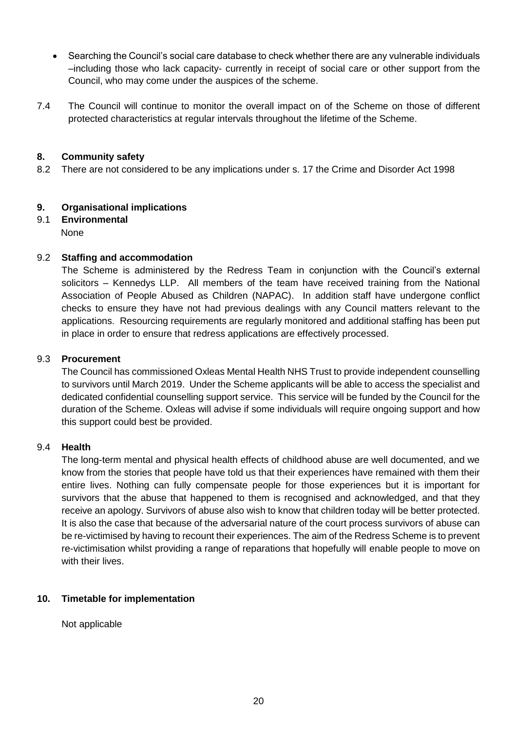- Searching the Council's social care database to check whether there are any vulnerable individuals –including those who lack capacity- currently in receipt of social care or other support from the Council, who may come under the auspices of the scheme.
- 7.4 The Council will continue to monitor the overall impact on of the Scheme on those of different protected characteristics at regular intervals throughout the lifetime of the Scheme.

### **8. Community safety**

8.2 There are not considered to be any implications under s. 17 the Crime and Disorder Act 1998

## **9. Organisational implications**

9.1 **Environmental** None

### 9.2 **Staffing and accommodation**

The Scheme is administered by the Redress Team in conjunction with the Council's external solicitors – Kennedys LLP. All members of the team have received training from the National Association of People Abused as Children (NAPAC). In addition staff have undergone conflict checks to ensure they have not had previous dealings with any Council matters relevant to the applications. Resourcing requirements are regularly monitored and additional staffing has been put in place in order to ensure that redress applications are effectively processed.

#### 9.3 **Procurement**

The Council has commissioned Oxleas Mental Health NHS Trust to provide independent counselling to survivors until March 2019. Under the Scheme applicants will be able to access the specialist and dedicated confidential counselling support service. This service will be funded by the Council for the duration of the Scheme. Oxleas will advise if some individuals will require ongoing support and how this support could best be provided.

### 9.4 **Health**

The long-term mental and physical health effects of childhood abuse are well documented, and we know from the stories that people have told us that their experiences have remained with them their entire lives. Nothing can fully compensate people for those experiences but it is important for survivors that the abuse that happened to them is recognised and acknowledged, and that they receive an apology. Survivors of abuse also wish to know that children today will be better protected. It is also the case that because of the adversarial nature of the court process survivors of abuse can be re-victimised by having to recount their experiences. The aim of the Redress Scheme is to prevent re-victimisation whilst providing a range of reparations that hopefully will enable people to move on with their lives.

#### **10. Timetable for implementation**

Not applicable